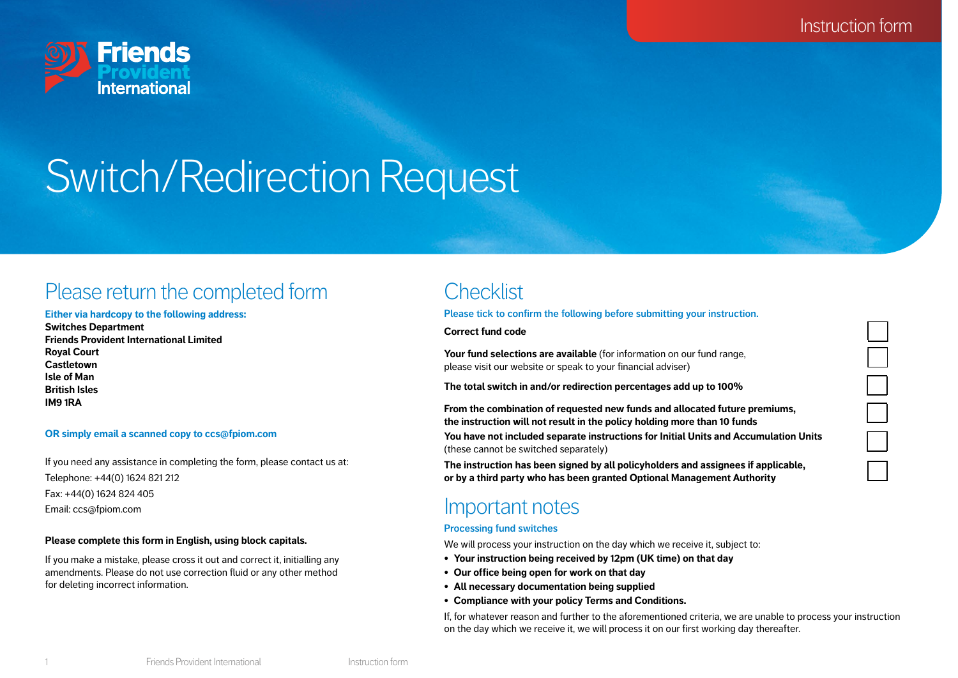Instruction form



# Switch/Redirection Request

# Please return the completed form

#### **Either via hardcopy to the following address:**

**Switches Department Friends Provident International Limited Royal Court Castletown Isle of Man British Isles IM9 1RA**

#### **OR simply email a scanned copy to ccs@fpiom.com**

If you need any assistance in completing the form, please contact us at: Telephone: +44(0) 1624 821 212 Fax: +44(0) 1624 824 405 Email: ccs@fpiom.com

#### **Please complete this form in English, using block capitals.**

If you make a mistake, please cross it out and correct it, initialling any amendments. Please do not use correction fluid or any other method for deleting incorrect information.

# **Checklist**

**Please tick to confirm the following before submitting your instruction.** 

**Correct fund code**

**Your fund selections are available** (for information on our fund range, please visit our website or speak to your financial adviser)

**The total switch in and/or redirection percentages add up to 100%**

**From the combination of requested new funds and allocated future premiums, the instruction will not result in the policy holding more than 10 funds You have not included separate instructions for Initial Units and Accumulation Units**

(these cannot be switched separately)

**The instruction has been signed by all policyholders and assignees if applicable, or by a third party who has been granted Optional Management Authority**

# Important notes

#### **Processing fund switches**

We will process your instruction on the day which we receive it, subject to:

- **• Your instruction being received by 12pm (UK time) on that day**
- **• Our office being open for work on that day**
- **• All necessary documentation being supplied**
- **• Compliance with your policy Terms and Conditions.**

If, for whatever reason and further to the aforementioned criteria, we are unable to process your instruction on the day which we receive it, we will process it on our first working day thereafter.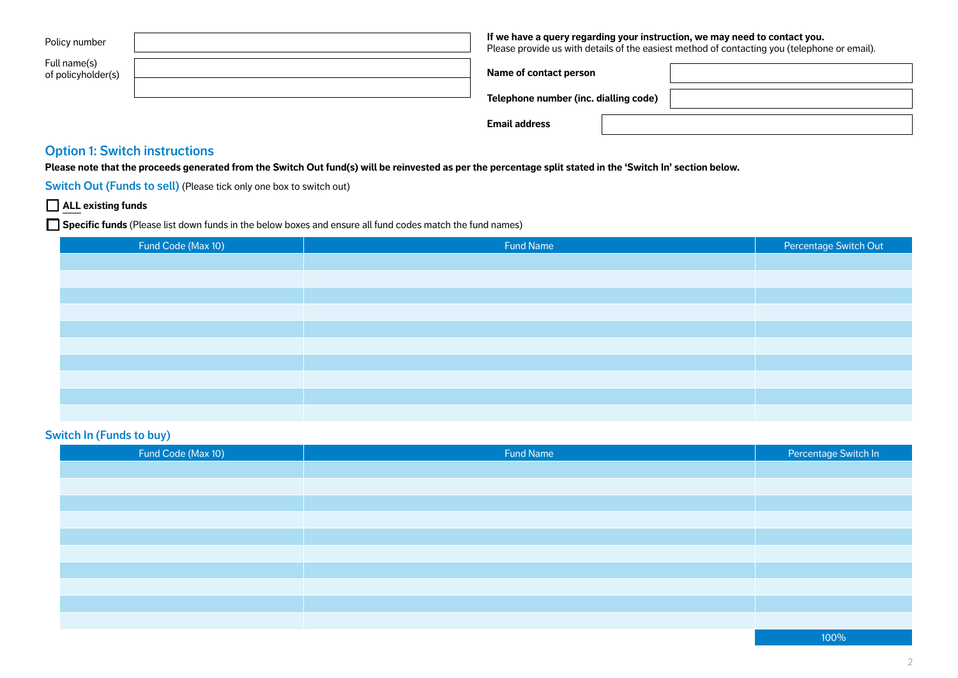| Policy number                        | If we have a query regarding your instruction, we may need to contact you. | Please provide us with details of the easiest method of contacting you (telephone or email). |
|--------------------------------------|----------------------------------------------------------------------------|----------------------------------------------------------------------------------------------|
| Full name(s)<br>of policyholder(s)   | Name of contact person                                                     |                                                                                              |
|                                      | Telephone number (inc. dialling code)                                      |                                                                                              |
|                                      | <b>Email address</b>                                                       |                                                                                              |
| <b>Option 1: Switch instructions</b> |                                                                            |                                                                                              |

**Please note that the proceeds generated from the Switch Out fund(s) will be reinvested as per the percentage split stated in the 'Switch In' section below.**

**Switch Out (Funds to sell)** (Please tick only one box to switch out)

# **ALL existing funds**

**Specific funds** (Please list down funds in the below boxes and ensure all fund codes match the fund names)

| Fund Code (Max 10) | Fund Name | Percentage Switch Out |
|--------------------|-----------|-----------------------|
|                    |           |                       |
|                    |           |                       |
|                    |           |                       |
|                    |           |                       |
|                    |           |                       |
|                    |           |                       |
|                    |           |                       |
|                    |           |                       |
|                    |           |                       |
|                    |           |                       |

## **Switch In (Funds to buy)**

| Fund Code (Max 10) | Fund Name | Percentage Switch In |
|--------------------|-----------|----------------------|
|                    |           |                      |
|                    |           |                      |
|                    |           |                      |
|                    |           |                      |
|                    |           |                      |
|                    |           |                      |
|                    |           |                      |
|                    |           |                      |
|                    |           |                      |
|                    |           |                      |
|                    |           |                      |

100%